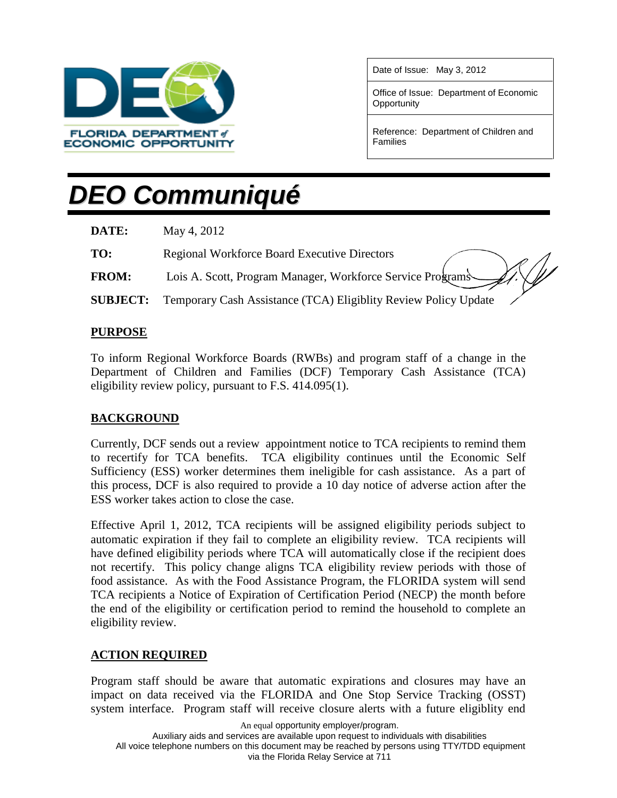

Date of Issue: May 3, 2012

Office of Issue: Department of Economic **Opportunity** 

Reference: Department of Children and Families

# *DEO Communiqué*

| DATE:           | May 4, 2012                                                     |
|-----------------|-----------------------------------------------------------------|
| TO:             | <b>Regional Workforce Board Executive Directors</b>             |
| <b>FROM:</b>    | Lois A. Scott, Program Manager, Workforce Service Programs      |
| <b>SUBJECT:</b> | Temporary Cash Assistance (TCA) Eligiblity Review Policy Update |

### **PURPOSE**

To inform Regional Workforce Boards (RWBs) and program staff of a change in the Department of Children and Families (DCF) Temporary Cash Assistance (TCA) eligibility review policy, pursuant to F.S. 414.095(1).

#### **BACKGROUND**

Currently, DCF sends out a review appointment notice to TCA recipients to remind them to recertify for TCA benefits. TCA eligibility continues until the Economic Self Sufficiency (ESS) worker determines them ineligible for cash assistance. As a part of this process, DCF is also required to provide a 10 day notice of adverse action after the ESS worker takes action to close the case.

Effective April 1, 2012, TCA recipients will be assigned eligibility periods subject to automatic expiration if they fail to complete an eligibility review. TCA recipients will have defined eligibility periods where TCA will automatically close if the recipient does not recertify. This policy change aligns TCA eligibility review periods with those of food assistance. As with the Food Assistance Program, the FLORIDA system will send TCA recipients a Notice of Expiration of Certification Period (NECP) the month before the end of the eligibility or certification period to remind the household to complete an eligibility review.

#### **ACTION REQUIRED**

Program staff should be aware that automatic expirations and closures may have an impact on data received via the FLORIDA and One Stop Service Tracking (OSST) system interface. Program staff will receive closure alerts with a future eligiblity end

An equal opportunity employer/program. Auxiliary aids and services are available upon request to individuals with disabilities All voice telephone numbers on this document may be reached by persons using TTY/TDD equipment via the Florida Relay Service at 711